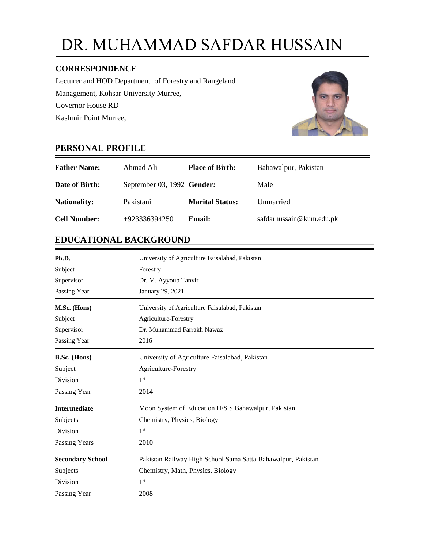# DR. MUHAMMAD SAFDAR HUSSAIN

## **CORRESPONDENCE**

Lecturer and HOD Department of Forestry and Rangeland Management, Kohsar University Murree, Governor House RD Kashmir Point Murree,



# **PERSONAL PROFILE**

| <b>Father Name:</b> | Ahmad Ali                  | <b>Place of Birth:</b> | Bahawalpur, Pakistan     |
|---------------------|----------------------------|------------------------|--------------------------|
| Date of Birth:      | September 03, 1992 Gender: |                        | Male                     |
| <b>Nationality:</b> | Pakistani                  | <b>Marital Status:</b> | Unmarried                |
| <b>Cell Number:</b> | $+923336394250$            | Email:                 | safdarhussain@kum.edu.pk |

# **EDUCATIONAL BACKGROUND**

| Ph.D.                   | University of Agriculture Faisalabad, Pakistan               |  |  |
|-------------------------|--------------------------------------------------------------|--|--|
| Subject                 | Forestry                                                     |  |  |
| Supervisor              | Dr. M. Ayyoub Tanvir                                         |  |  |
| Passing Year            | January 29, 2021                                             |  |  |
| M.Sc. (Hons)            | University of Agriculture Faisalabad, Pakistan               |  |  |
| Subject                 | Agriculture-Forestry                                         |  |  |
| Supervisor              | Dr. Muhammad Farrakh Nawaz                                   |  |  |
| Passing Year            | 2016                                                         |  |  |
| <b>B.Sc.</b> (Hons)     | University of Agriculture Faisalabad, Pakistan               |  |  |
| Subject                 | Agriculture-Forestry                                         |  |  |
| Division                | 1 <sup>st</sup>                                              |  |  |
| Passing Year            | 2014                                                         |  |  |
| <b>Intermediate</b>     | Moon System of Education H/S.S Bahawalpur, Pakistan          |  |  |
| Subjects                | Chemistry, Physics, Biology                                  |  |  |
| Division                | 1 <sup>st</sup>                                              |  |  |
| <b>Passing Years</b>    | 2010                                                         |  |  |
| <b>Secondary School</b> | Pakistan Railway High School Sama Satta Bahawalpur, Pakistan |  |  |
| Subjects                | Chemistry, Math, Physics, Biology                            |  |  |
| Division                | 1 <sup>st</sup>                                              |  |  |
| Passing Year            | 2008                                                         |  |  |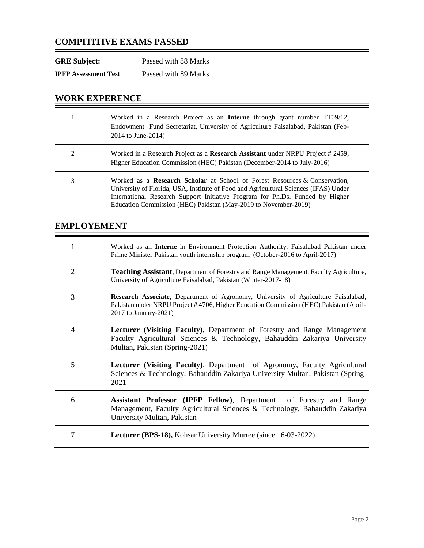# **COMPITITIVE EXAMS PASSED**

| <b>GRE Subject:</b>         | Passed with 88 Marks |
|-----------------------------|----------------------|
| <b>IPFP Assessment Test</b> | Passed with 89 Marks |

## **WORK EXPERENCE**

|   | Worked in a Research Project as an <b>Interne</b> through grant number TT09/12,<br>Endowment Fund Secretariat, University of Agriculture Faisalabad, Pakistan (Feb-<br>2014 to June-2014)                                                                                                                                     |
|---|-------------------------------------------------------------------------------------------------------------------------------------------------------------------------------------------------------------------------------------------------------------------------------------------------------------------------------|
| 2 | Worked in a Research Project as a Research Assistant under NRPU Project # 2459,<br>Higher Education Commission (HEC) Pakistan (December-2014 to July-2016)                                                                                                                                                                    |
| 3 | Worked as a <b>Research Scholar</b> at School of Forest Resources & Conservation,<br>University of Florida, USA, Institute of Food and Agricultural Sciences (IFAS) Under<br>International Research Support Initiative Program for Ph.Ds. Funded by Higher<br>Education Commission (HEC) Pakistan (May-2019 to November-2019) |

# **EMPLOYEMENT**

|                | Worked as an <b>Interne</b> in Environment Protection Authority, Faisalabad Pakistan under<br>Prime Minister Pakistan youth internship program (October-2016 to April-2017)                         |
|----------------|-----------------------------------------------------------------------------------------------------------------------------------------------------------------------------------------------------|
| $\overline{2}$ | <b>Teaching Assistant</b> , Department of Forestry and Range Management, Faculty Agriculture,<br>University of Agriculture Faisalabad, Pakistan (Winter-2017-18)                                    |
| 3              | Research Associate, Department of Agronomy, University of Agriculture Faisalabad,<br>Pakistan under NRPU Project #4706, Higher Education Commission (HEC) Pakistan (April-<br>2017 to January-2021) |
| 4              | <b>Lecturer (Visiting Faculty), Department of Forestry and Range Management</b><br>Faculty Agricultural Sciences & Technology, Bahauddin Zakariya University<br>Multan, Pakistan (Spring-2021)      |
| 5              | <b>Lecturer (Visiting Faculty)</b> , Department of Agronomy, Faculty Agricultural<br>Sciences & Technology, Bahauddin Zakariya University Multan, Pakistan (Spring-<br>2021                         |
| 6              | Assistant Professor (IPFP Fellow), Department of Forestry and Range<br>Management, Faculty Agricultural Sciences & Technology, Bahauddin Zakariya<br>University Multan, Pakistan                    |
| 7              | <b>Lecturer (BPS-18), Kohsar University Murree (since 16-03-2022)</b>                                                                                                                               |

<u> 1989 - Johann Barnett, fransk konge</u>

 $\equiv$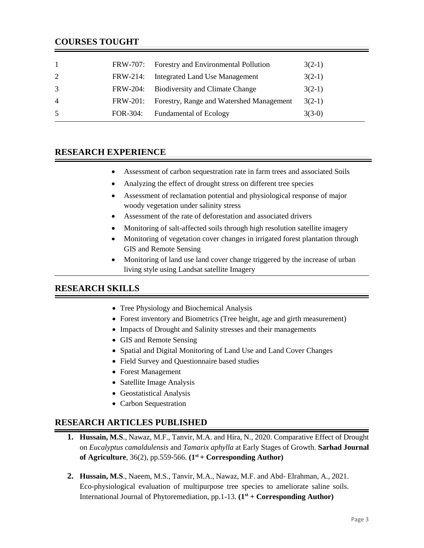| $\overline{1}$ |          | FRW-707: Forestry and Environmental Pollution | $3(2-1)$ |
|----------------|----------|-----------------------------------------------|----------|
| 2              | FRW-214: | <b>Integrated Land Use Management</b>         | $3(2-1)$ |
| 3              | FRW-204: | <b>Biodiversity and Climate Change</b>        | $3(2-1)$ |
| $\overline{4}$ | FRW-201: | Forestry, Range and Watershed Management      | $3(2-1)$ |
| 5              |          | FOR-304: Fundamental of Ecology               | $3(3-0)$ |

#### **RESEARCH EXPERIENCE**

- Assessment of carbon sequestration rate in farm trees and associated Soils
- Analyzing the effect of drought stress on different tree species
- Assessment of reclamation potential and physiological response of major woody vegetation under salinity stress
- Assessment of the rate of deforestation and associated drivers
- Monitoring of salt-affected soils through high resolution satellite imagery
- Monitoring of vegetation cover changes in irrigated forest plantation through GIS and Remote Sensing
- Monitoring of land use land cover change triggered by the increase of urban living style using Landsat satellite Imagery

## **RESEARCH SKILLS**

- Tree Physiology and Biochemical Analysis
- Forest inventory and Biometrics (Tree height, age and girth measurement)
- Impacts of Drought and Salinity stresses and their managements
- GIS and Remote Sensing
- Spatial and Digital Monitoring of Land Use and Land Cover Changes
- Field Survey and Questionnaire based studies
- Forest Management
- Satellite Image Analysis
- Geostatistical Analysis
- Carbon Sequestration

#### **RESEARCH ARTICLES PUBLISHED**

- **1. Hussain, M.S**., Nawaz, M.F., Tanvir, M.A. and Hira, N., 2020. Comparative Effect of Drought on *Eucalyptus camaldulensis* and *Tamarix aphylla* at Early Stages of Growth. **Sarhad Journal of Agriculture**, 36(2), pp.559-566. **(1 st + Corresponding Author)**
- **2. Hussain, M.S**., Naeem, M.S., Tanvir, M.A., Nawaz, M.F. and Abd- Elrahman, A., 2021. Eco-physiological evaluation of multipurpose tree species to ameliorate saline soils. International Journal of Phytoremediation, pp.1-13. **(1 st + Corresponding Author)**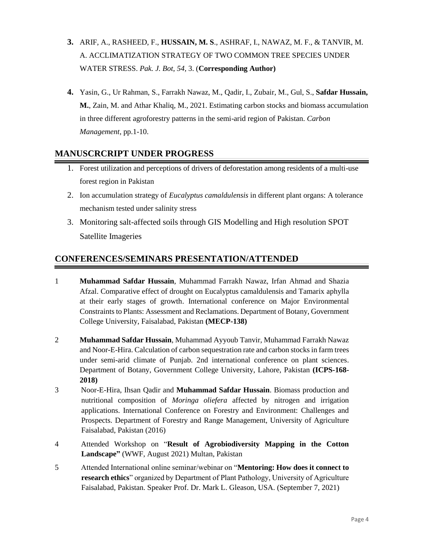- **3.** ARIF, A., RASHEED, F., **HUSSAIN, M. S**., ASHRAF, I., NAWAZ, M. F., & TANVIR, M. A. ACCLIMATIZATION STRATEGY OF TWO COMMON TREE SPECIES UNDER WATER STRESS. *Pak. J. Bot*, *54*, 3. (**Corresponding Author)**
- **4.** Yasin, G., Ur Rahman, S., Farrakh Nawaz, M., Qadir, I., Zubair, M., Gul, S., **Safdar Hussain, M.**, Zain, M. and Athar Khaliq, M., 2021. Estimating carbon stocks and biomass accumulation in three different agroforestry patterns in the semi-arid region of Pakistan. *Carbon Management*, pp.1-10.

## **MANUSCRCRIPT UNDER PROGRESS**

- 1. Forest utilization and perceptions of drivers of deforestation among residents of a multi-use forest region in Pakistan
- 2. Ion accumulation strategy of *Eucalyptus camaldulensis* in different plant organs: A tolerance mechanism tested under salinity stress
- 3. Monitoring salt-affected soils through GIS Modelling and High resolution SPOT Satellite Imageries

# **CONFERENCES/SEMINARS PRESENTATION/ATTENDED**

- 1 **Muhammad Safdar Hussain**, Muhammad Farrakh Nawaz, Irfan Ahmad and Shazia Afzal. Comparative effect of drought on Eucalyptus camaldulensis and Tamarix aphylla at their early stages of growth. International conference on Major Environmental Constraints to Plants: Assessment and Reclamations. Department of Botany, Government College University, Faisalabad, Pakistan **(MECP-138)**
- 2 **Muhammad Safdar Hussain**, Muhammad Ayyoub Tanvir, Muhammad Farrakh Nawaz and Noor-E-Hira. Calculation of carbon sequestration rate and carbon stocks in farm trees under semi-arid climate of Punjab. 2nd international conference on plant sciences. Department of Botany, Government College University, Lahore, Pakistan **(ICPS-168- 2018)**
- 3 Noor-E-Hira, Ihsan Qadir and **Muhammad Safdar Hussain**. Biomass production and nutritional composition of *Moringa oliefera* affected by nitrogen and irrigation applications. International Conference on Forestry and Environment: Challenges and Prospects. Department of Forestry and Range Management, University of Agriculture Faisalabad, Pakistan (2016)
- 4 Attended Workshop on "**Result of Agrobiodiversity Mapping in the Cotton Landscape"** (WWF, August 2021) Multan, Pakistan
- 5 Attended International online seminar/webinar on "**Mentoring: How does it connect to research ethics**" organized by Department of Plant Pathology, University of Agriculture Faisalabad, Pakistan. Speaker Prof. Dr. Mark L. Gleason, USA. (September 7, 2021)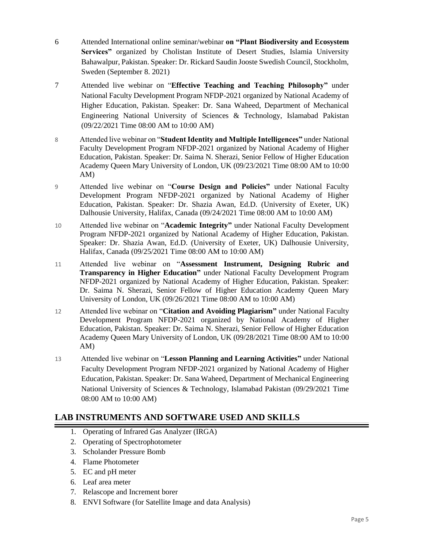- 6 Attended International online seminar/webinar **on "Plant Biodiversity and Ecosystem Services"** organized by Cholistan Institute of Desert Studies, Islamia University Bahawalpur, Pakistan. Speaker: Dr. Rickard Saudin Jooste Swedish Council, Stockholm, Sweden (September 8. 2021)
- 7 Attended live webinar on "**Effective Teaching and Teaching Philosophy"** under National Faculty Development Program NFDP-2021 organized by National Academy of Higher Education, Pakistan. Speaker: Dr. Sana Waheed, Department of Mechanical Engineering National University of Sciences & Technology, Islamabad Pakistan (09/22/2021 Time 08:00 AM to 10:00 AM)
- 8 Attended live webinar on "**Student Identity and Multiple Intelligences"** under National Faculty Development Program NFDP-2021 organized by National Academy of Higher Education, Pakistan. Speaker: Dr. Saima N. Sherazi, Senior Fellow of Higher Education Academy Queen Mary University of London, UK (09/23/2021 Time 08:00 AM to 10:00 AM)
- 9 Attended live webinar on "**Course Design and Policies"** under National Faculty Development Program NFDP-2021 organized by National Academy of Higher Education, Pakistan. Speaker: Dr. Shazia Awan, Ed.D. (University of Exeter, UK) Dalhousie University, Halifax, Canada (09/24/2021 Time 08:00 AM to 10:00 AM)
- 10 Attended live webinar on "**Academic Integrity"** under National Faculty Development Program NFDP-2021 organized by National Academy of Higher Education, Pakistan. Speaker: Dr. Shazia Awan, Ed.D. (University of Exeter, UK) Dalhousie University, Halifax, Canada (09/25/2021 Time 08:00 AM to 10:00 AM)
- 11 Attended live webinar on "**Assessment Instrument, Designing Rubric and Transparency in Higher Education"** under National Faculty Development Program NFDP-2021 organized by National Academy of Higher Education, Pakistan. Speaker: Dr. Saima N. Sherazi, Senior Fellow of Higher Education Academy Queen Mary University of London, UK (09/26/2021 Time 08:00 AM to 10:00 AM)
- 12 Attended live webinar on "**Citation and Avoiding Plagiarism"** under National Faculty Development Program NFDP-2021 organized by National Academy of Higher Education, Pakistan. Speaker: Dr. Saima N. Sherazi, Senior Fellow of Higher Education Academy Queen Mary University of London, UK (09/28/2021 Time 08:00 AM to 10:00 AM)
- 13 Attended live webinar on "**Lesson Planning and Learning Activities"** under National Faculty Development Program NFDP-2021 organized by National Academy of Higher Education, Pakistan. Speaker: Dr. Sana Waheed, Department of Mechanical Engineering National University of Sciences & Technology, Islamabad Pakistan (09/29/2021 Time 08:00 AM to 10:00 AM)

# **LAB INSTRUMENTS AND SOFTWARE USED AND SKILLS**

- 1. Operating of Infrared Gas Analyzer (IRGA)
- 2. Operating of Spectrophotometer
- 3. Scholander Pressure Bomb
- 4. Flame Photometer
- 5. EC and pH meter
- 6. Leaf area meter
- 7. Relascope and Increment borer
- 8. ENVI Software (for Satellite Image and data Analysis)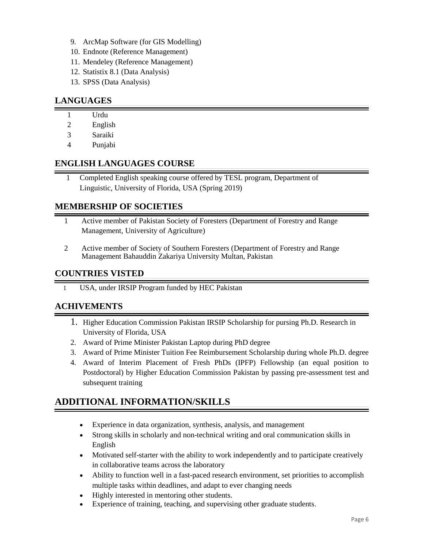- 9. ArcMap Software (for GIS Modelling)
- 10. Endnote (Reference Management)
- 11. Mendeley (Reference Management)
- 12. Statistix 8.1 (Data Analysis)
- 13. SPSS (Data Analysis)

## **LANGUAGES**

- 1 Urdu
- 2 English
- 3 Saraiki
- 4 Punjabi

## **ENGLISH LANGUAGES COURSE**

 1 Completed English speaking course offered by TESL program, Department of Linguistic, University of Florida, USA (Spring 2019)

## **MEMBERSHIP OF SOCIETIES**

- 1 Active member of Pakistan Society of Foresters (Department of Forestry and Range Management, University of Agriculture)
- 2 Active member of Society of Southern Foresters (Department of Forestry and Range Management Bahauddin Zakariya University Multan, Pakistan

## **COUNTRIES VISTED**

1 USA, under IRSIP Program funded by HEC Pakistan

## **ACHIVEMENTS**

- 1. Higher Education Commission Pakistan IRSIP Scholarship for pursing Ph.D. Research in University of Florida, USA
- 2. Award of Prime Minister Pakistan Laptop during PhD degree
- 3. Award of Prime Minister Tuition Fee Reimbursement Scholarship during whole Ph.D. degree
- 4. Award of Interim Placement of Fresh PhDs (IPFP) Fellowship (an equal position to Postdoctoral) by Higher Education Commission Pakistan by passing pre-assessment test and subsequent training

# **ADDITIONAL INFORMATION/SKILLS**

- Experience in data organization, synthesis, analysis, and management
- Strong skills in scholarly and non-technical writing and oral communication skills in English
- Motivated self-starter with the ability to work independently and to participate creatively in collaborative teams across the laboratory
- Ability to function well in a fast-paced research environment, set priorities to accomplish multiple tasks within deadlines, and adapt to ever changing needs
- Highly interested in mentoring other students.
- Experience of training, teaching, and supervising other graduate students.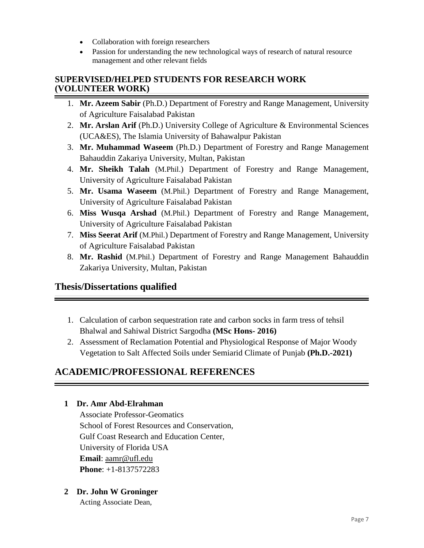- Collaboration with foreign researchers
- Passion for understanding the new technological ways of research of natural resource management and other relevant fields

#### **SUPERVISED/HELPED STUDENTS FOR RESEARCH WORK (VOLUNTEER WORK)**

- 1. **Mr. Azeem Sabir** (Ph.D.) Department of Forestry and Range Management, University of Agriculture Faisalabad Pakistan
- 2. **Mr. Arslan Arif** (Ph.D.) University College of Agriculture & Environmental Sciences (UCA&ES), The Islamia University of Bahawalpur Pakistan
- 3. **Mr. Muhammad Waseem** (Ph.D.) Department of Forestry and Range Management Bahauddin Zakariya University, Multan, Pakistan
- 4. **Mr. Sheikh Talah** (M.Phil.) Department of Forestry and Range Management, University of Agriculture Faisalabad Pakistan
- 5. **Mr. Usama Waseem** (M.Phil.) Department of Forestry and Range Management, University of Agriculture Faisalabad Pakistan
- 6. **Miss Wusqa Arshad** (M.Phil.) Department of Forestry and Range Management, University of Agriculture Faisalabad Pakistan
- 7. **Miss Seerat Arif** (M.Phil.) Department of Forestry and Range Management, University of Agriculture Faisalabad Pakistan
- 8. **Mr. Rashid** (M.Phil.) Department of Forestry and Range Management Bahauddin Zakariya University, Multan, Pakistan

# **Thesis/Dissertations qualified**

- 1. Calculation of carbon sequestration rate and carbon socks in farm tress of tehsil Bhalwal and Sahiwal District Sargodha **(MSc Hons- 2016)**
- 2. Assessment of Reclamation Potential and Physiological Response of Major Woody Vegetation to Salt Affected Soils under Semiarid Climate of Punjab **(Ph.D.-2021)**

# **ACADEMIC/PROFESSIONAL REFERENCES**

#### **1 Dr. Amr Abd-Elrahman**

Associate Professor-Geomatics School of Forest Resources and Conservation, Gulf Coast Research and Education Center, University of Florida USA **Email**: aamr@ufl.edu **Phone**: +1-8137572283

**2 Dr. John W Groninger** 

Acting Associate Dean,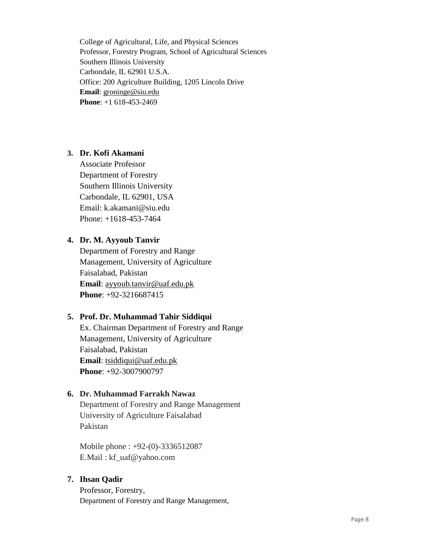College of Agricultural, Life, and Physical Sciences Professor, Forestry Program, School of Agricultural Sciences Southern Illinois University Carbondale, IL 62901 U.S.A. Office: 200 Agriculture Building, 1205 Lincoln Drive **Email**: groninge@siu.edu **Phone**: +1 618-453-2469

#### **3. Dr. Kofi Akamani**

Associate Professor Department of Forestry Southern Illinois University Carbondale, IL 62901, USA Email: k.akamani@siu.edu Phone: +1618-453-7464

#### **4. Dr. M. Ayyoub Tanvir**

Department of Forestry and Range Management, University of Agriculture Faisalabad, Pakistan **Email**: ayyoub.tanvir@uaf.edu.pk **Phone**: +92-3216687415

#### **5. Prof. Dr. Muhammad Tahir Siddiqui**

Ex. Chairman Department of Forestry and Range Management, University of Agriculture Faisalabad, Pakistan **Email**: tsiddiqui@uaf.edu.pk **Phone**: +92-3007900797

#### **6. Dr. Muhammad Farrakh Nawaz**

Department of Forestry and Range Management University of Agriculture Faisalabad Pakistan

Mobile phone : +92-(0)-3336512087 E.Mail : kf\_uaf@yahoo.com

## **7. Ihsan Qadir**

Professor, Forestry, Department of Forestry and Range Management,